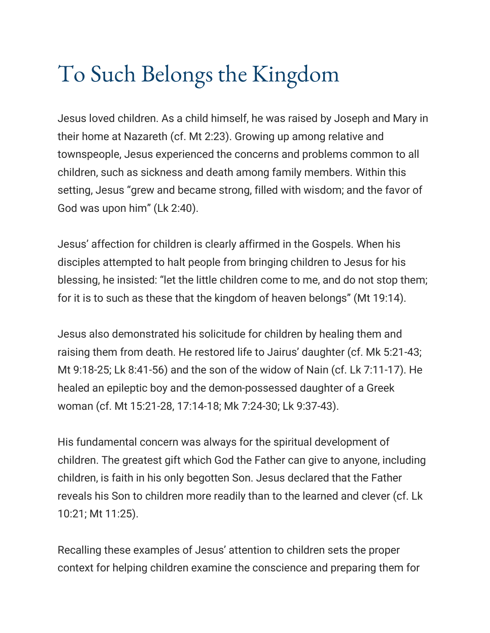## To Such Belongs the Kingdom

Jesus loved children. As a child himself, he was raised by Joseph and Mary in their home at Nazareth (cf. Mt 2:23). Growing up among relative and townspeople, Jesus experienced the concerns and problems common to all children, such as sickness and death among family members. Within this setting, Jesus "grew and became strong, filled with wisdom; and the favor of God was upon him" (Lk 2:40).

Jesus' affection for children is clearly affirmed in the Gospels. When his disciples attempted to halt people from bringing children to Jesus for his blessing, he insisted: "let the little children come to me, and do not stop them; for it is to such as these that the kingdom of heaven belongs" (Mt 19:14).

Jesus also demonstrated his solicitude for children by healing them and raising them from death. He restored life to Jairus' daughter (cf. Mk 5:21-43; Mt 9:18-25; Lk 8:41-56) and the son of the widow of Nain (cf. Lk 7:11-17). He healed an epileptic boy and the demon-possessed daughter of a Greek woman (cf. Mt 15:21-28, 17:14-18; Mk 7:24-30; Lk 9:37-43).

His fundamental concern was always for the spiritual development of children. The greatest gift which God the Father can give to anyone, including children, is faith in his only begotten Son. Jesus declared that the Father reveals his Son to children more readily than to the learned and clever (cf. Lk 10:21; Mt 11:25).

Recalling these examples of Jesus' attention to children sets the proper context for helping children examine the conscience and preparing them for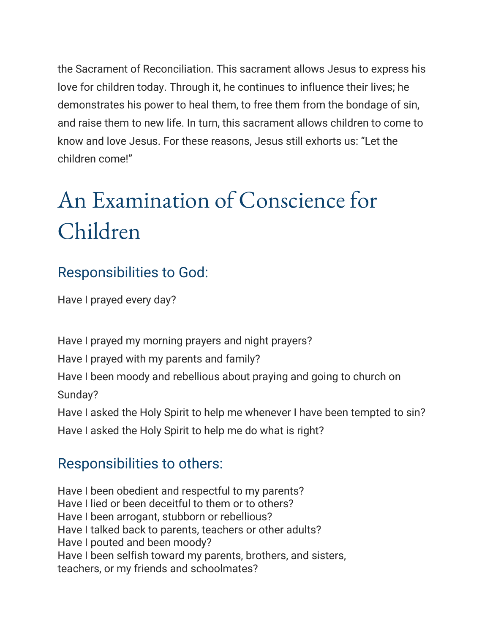the Sacrament of Reconciliation. This sacrament allows Jesus to express his love for children today. Through it, he continues to influence their lives; he demonstrates his power to heal them, to free them from the bondage of sin, and raise them to new life. In turn, this sacrament allows children to come to know and love Jesus. For these reasons, Jesus still exhorts us: "Let the children come!"

## An Examination of Conscience for Children

## Responsibilities to God:

Have I prayed every day?

Have I prayed my morning prayers and night prayers? Have I prayed with my parents and family? Have I been moody and rebellious about praying and going to church on Sunday? Have I asked the Holy Spirit to help me whenever I have been tempted to sin?

Have I asked the Holy Spirit to help me do what is right?

## Responsibilities to others:

Have I been obedient and respectful to my parents? Have I lied or been deceitful to them or to others? Have I been arrogant, stubborn or rebellious? Have I talked back to parents, teachers or other adults? Have I pouted and been moody? Have I been selfish toward my parents, brothers, and sisters, teachers, or my friends and schoolmates?